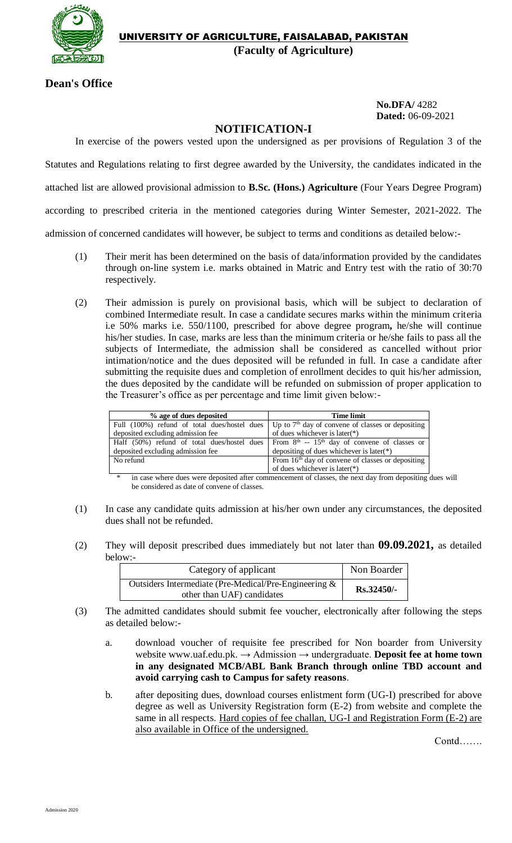

**Dean's Office**

**No.DFA/** 4282 **Dated:** 06-09-2021

## **NOTIFICATION-I**

In exercise of the powers vested upon the undersigned as per provisions of Regulation 3 of the

Statutes and Regulations relating to first degree awarded by the University, the candidates indicated in the

attached list are allowed provisional admission to **B.Sc. (Hons.) Agriculture** (Four Years Degree Program)

according to prescribed criteria in the mentioned categories during Winter Semester, 2021-2022. The

admission of concerned candidates will however, be subject to terms and conditions as detailed below:-

- (1) Their merit has been determined on the basis of data/information provided by the candidates through on-line system i.e. marks obtained in Matric and Entry test with the ratio of 30:70 respectively.
- (2) Their admission is purely on provisional basis, which will be subject to declaration of combined Intermediate result. In case a candidate secures marks within the minimum criteria i.e 50% marks i.e. 550/1100, prescribed for above degree program**,** he/she will continue his/her studies. In case, marks are less than the minimum criteria or he/she fails to pass all the subjects of Intermediate, the admission shall be considered as cancelled without prior intimation/notice and the dues deposited will be refunded in full. In case a candidate after submitting the requisite dues and completion of enrollment decides to quit his/her admission, the dues deposited by the candidate will be refunded on submission of proper application to the Treasurer's office as per percentage and time limit given below:-

| % age of dues deposited                      | <b>Time limit</b>                                                                          |  |
|----------------------------------------------|--------------------------------------------------------------------------------------------|--|
| Full (100%) refund of total dues/hostel dues | Up to $7th$ day of convene of classes or depositing                                        |  |
| deposited excluding admission fee            | of dues whichever is later $(*)$                                                           |  |
|                                              | Half (50%) refund of total dues/hostel dues From $8th - 15th$ day of convene of classes or |  |
| deposited excluding admission fee            | depositing of dues whichever is later( $*)$                                                |  |
| No refund                                    | From $16th$ day of convene of classes or depositing                                        |  |
|                                              | of dues whichever is later( $*$ )                                                          |  |

in case where dues were deposited after commencement of classes, the next day from depositing dues will be considered as date of convene of classes.

- (1) In case any candidate quits admission at his/her own under any circumstances, the deposited dues shall not be refunded.
- (2) They will deposit prescribed dues immediately but not later than **09.09.2021,** as detailed below:-

| Category of applicant                                                               | Non Boarder  |
|-------------------------------------------------------------------------------------|--------------|
| Outsiders Intermediate (Pre-Medical/Pre-Engineering &<br>other than UAF) candidates | $Rs.32450/-$ |

- (3) The admitted candidates should submit fee voucher, electronically after following the steps as detailed below:
	- a. download voucher of requisite fee prescribed for Non boarder from University website [www.uaf.edu.pk.](http://www.uaf.edu.pk/) → Admission → undergraduate. **Deposit fee at home town in any designated MCB/ABL Bank Branch through online TBD account and avoid carrying cash to Campus for safety reasons**.
	- b. after depositing dues, download courses enlistment form (UG-I) prescribed for above degree as well as University Registration form (E-2) from website and complete the same in all respects. Hard copies of fee challan, UG-I and Registration Form (E-2) are also available in Office of the undersigned.

Contd…….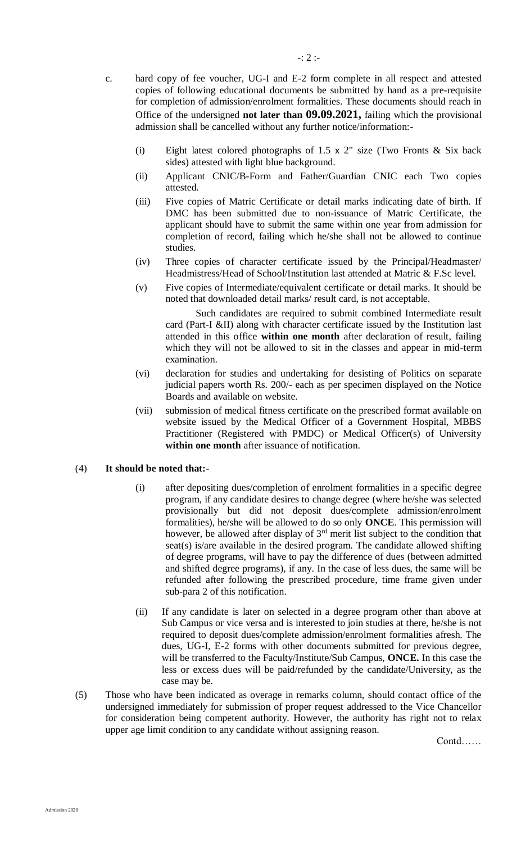- c. hard copy of fee voucher, UG-I and E-2 form complete in all respect and attested copies of following educational documents be submitted by hand as a pre-requisite for completion of admission/enrolment formalities. These documents should reach in Office of the undersigned **not later than 09.09.2021,** failing which the provisional admission shall be cancelled without any further notice/information:-
	- (i) Eight latest colored photographs of 1.5 x 2" size (Two Fronts & Six back sides) attested with light blue background.
	- (ii) Applicant CNIC/B-Form and Father/Guardian CNIC each Two copies attested.
	- (iii) Five copies of Matric Certificate or detail marks indicating date of birth. If DMC has been submitted due to non-issuance of Matric Certificate, the applicant should have to submit the same within one year from admission for completion of record, failing which he/she shall not be allowed to continue studies.
	- (iv) Three copies of character certificate issued by the Principal/Headmaster/ Headmistress/Head of School/Institution last attended at Matric & F.Sc level.
	- (v) Five copies of Intermediate/equivalent certificate or detail marks. It should be noted that downloaded detail marks/ result card, is not acceptable.

Such candidates are required to submit combined Intermediate result card (Part-I &II) along with character certificate issued by the Institution last attended in this office **within one month** after declaration of result, failing which they will not be allowed to sit in the classes and appear in mid-term examination.

- (vi) declaration for studies and undertaking for desisting of Politics on separate judicial papers worth Rs. 200/- each as per specimen displayed on the Notice Boards and available on website.
- (vii) submission of medical fitness certificate on the prescribed format available on website issued by the Medical Officer of a Government Hospital, MBBS Practitioner (Registered with PMDC) or Medical Officer(s) of University **within one month** after issuance of notification.

## (4) **It should be noted that:-**

- (i) after depositing dues/completion of enrolment formalities in a specific degree program, if any candidate desires to change degree (where he/she was selected provisionally but did not deposit dues/complete admission/enrolment formalities), he/she will be allowed to do so only **ONCE**. This permission will however, be allowed after display of 3<sup>rd</sup> merit list subject to the condition that seat(s) is/are available in the desired program. The candidate allowed shifting of degree programs, will have to pay the difference of dues (between admitted and shifted degree programs), if any. In the case of less dues, the same will be refunded after following the prescribed procedure, time frame given under sub-para 2 of this notification.
- (ii) If any candidate is later on selected in a degree program other than above at Sub Campus or vice versa and is interested to join studies at there, he/she is not required to deposit dues/complete admission/enrolment formalities afresh. The dues, UG-I, E-2 forms with other documents submitted for previous degree, will be transferred to the Faculty/Institute/Sub Campus, **ONCE.** In this case the less or excess dues will be paid/refunded by the candidate/University, as the case may be.
- (5) Those who have been indicated as overage in remarks column, should contact office of the undersigned immediately for submission of proper request addressed to the Vice Chancellor for consideration being competent authority. However, the authority has right not to relax upper age limit condition to any candidate without assigning reason.